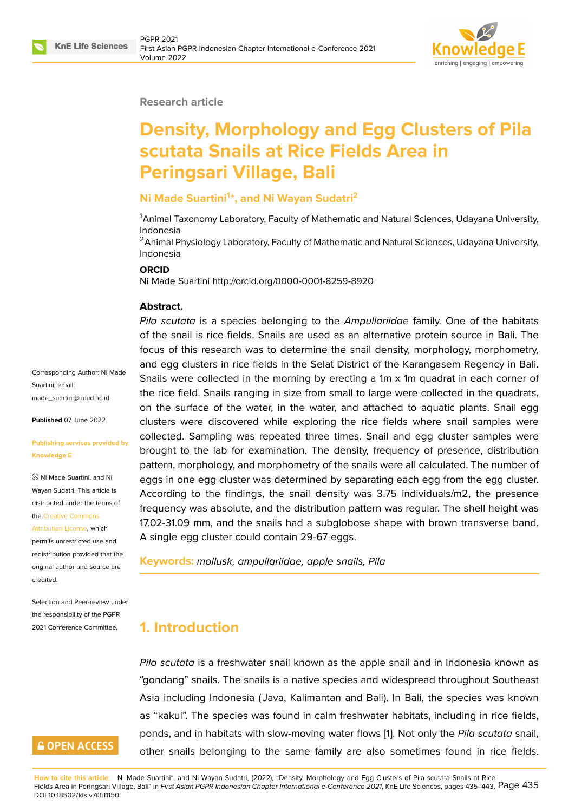

#### **Research article**

# **Density, Morphology and Egg Clusters of Pila scutata Snails at Rice Fields Area in Peringsari Village, Bali**

## **Ni Made Suartini<sup>1</sup> \*, and Ni Wayan Sudatri<sup>2</sup>**

<sup>1</sup>Animal Taxonomy Laboratory, Faculty of Mathematic and Natural Sciences, Udayana University, Indonesia

<sup>2</sup> Animal Physiology Laboratory, Faculty of Mathematic and Natural Sciences, Udayana University, Indonesia

#### **ORCID**

Ni Made Suartini http://orcid.org/0000-0001-8259-8920

#### **Abstract.**

*Pila scutata* is a species belonging to the *Ampullariidae* family. One of the habitats of the snail is rice fields. Snails are used as an alternative protein source in Bali. The focus of this research was to determine the snail density, morphology, morphometry, and egg clusters in rice fields in the Selat District of the Karangasem Regency in Bali. Snails were collected in the morning by erecting a 1m x 1m quadrat in each corner of the rice field. Snails ranging in size from small to large were collected in the quadrats, on the surface of the water, in the water, and attached to aquatic plants. Snail egg clusters were discovered while exploring the rice fields where snail samples were collected. Sampling was repeated three times. Snail and egg cluster samples were brought to the lab for examination. The density, frequency of presence, distribution pattern, morphology, and morphometry of the snails were all calculated. The number of eggs in one egg cluster was determined by separating each egg from the egg cluster. According to the findings, the snail density was 3.75 individuals/m2, the presence frequency was absolute, and the distribution pattern was regular. The shell height was 17.02-31.09 mm, and the snails had a subglobose shape with brown transverse band. A single egg cluster could contain 29-67 eggs.

**Keywords:** *mollusk, ampullariidae, apple snails, Pila*

# **1. Introduction**

*Pila scutata* is a freshwater snail known as the apple snail and in Indonesia known as "gondang" snails. The snails is a native species and widespread throughout Southeast Asia including Indonesia ( Java, Kalimantan and Bali). In Bali, the species was known as "kakul". The species was found in calm freshwater habitats, including in rice fields, ponds, and in habitats with slow-moving water flows [1]. Not only the *Pila scutata* snail, other snails belonging to the same family are also sometimes found in rice fields.

**How to cite this article**: Ni Made Suartini\*, and Ni Wayan Sudatri, (2022), "Density, Morphology and Egg Cl[us](#page-7-0)ters of Pila scutata Snails at Rice Fields Area in Peringsari Village, Bali" in *First Asian PGPR Indonesian Chapter International e-Conference 2021*, KnE Life Sciences, pages 435–443. Page 435 DOI 10.18502/kls.v7i3.11150

Corresponding Author: Ni Made Suartini; email: made\_suartini@unud.ac.id

**Published** 07 June 2022

#### **[Publishing services provid](mailto:made_suartini@unud.ac.id)ed by Knowledge E**

Ni Made Suartini, and Ni Wayan Sudatri. This article is distributed under the terms of the Creative Commons

Attribution License, which

permits unrestricted use and redistribution provided that the orig[inal author and sou](https://creativecommons.org/licenses/by/4.0/)rce are [credited.](https://creativecommons.org/licenses/by/4.0/)

Selection and Peer-review under the responsibility of the PGPR 2021 Conference Committee.

# **GOPEN ACCESS**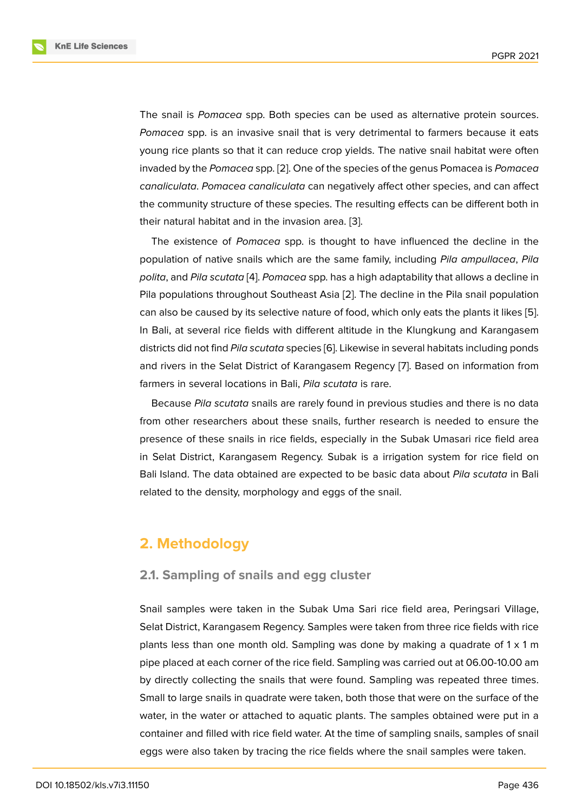The snail is *Pomacea* spp. Both species can be used as alternative protein sources. *Pomacea* spp. is an invasive snail that is very detrimental to farmers because it eats young rice plants so that it can reduce crop yields. The native snail habitat were often invaded by the *Pomacea* spp. [2]. One of the species of the genus Pomacea is *Pomacea canaliculata*. *Pomacea canaliculata* can negatively affect other species, and can affect the community structure of these species. The resulting effects can be different both in their natural habitat and in the [in](#page-7-1)vasion area. [3].

The existence of *Pomacea* spp. is thought to have influenced the decline in the population of native snails which are the same family, including *Pila ampullacea*, *Pila polita*, and *Pila scutata* [4]. *Pomacea* spp. has [a h](#page-8-0)igh adaptability that allows a decline in Pila populations throughout Southeast Asia [2]. The decline in the Pila snail population can also be caused by its selective nature of food, which only eats the plants it likes [5]. In Bali, at several rice f[ie](#page-8-1)lds with different altitude in the Klungkung and Karangasem districts did not find *Pila scutata* species [6]. L[ik](#page-7-1)ewise in several habitats including ponds and rivers in the Selat District of Karangasem Regency [7]. Based on information fr[om](#page-8-2) farmers in several locations in Bali, *Pila scutata* is rare.

Because *Pila scutata* snails are rarely [fo](#page-8-3)und in previous studies and there is no data from other researchers about these snails, further rese[ar](#page-8-4)ch is needed to ensure the presence of these snails in rice fields, especially in the Subak Umasari rice field area in Selat District, Karangasem Regency. Subak is a irrigation system for rice field on Bali Island. The data obtained are expected to be basic data about *Pila scutata* in Bali related to the density, morphology and eggs of the snail.

# **2. Methodology**

### **2.1. Sampling of snails and egg cluster**

Snail samples were taken in the Subak Uma Sari rice field area, Peringsari Village, Selat District, Karangasem Regency. Samples were taken from three rice fields with rice plants less than one month old. Sampling was done by making a quadrate of  $1 \times 1$  m pipe placed at each corner of the rice field. Sampling was carried out at 06.00-10.00 am by directly collecting the snails that were found. Sampling was repeated three times. Small to large snails in quadrate were taken, both those that were on the surface of the water, in the water or attached to aquatic plants. The samples obtained were put in a container and filled with rice field water. At the time of sampling snails, samples of snail eggs were also taken by tracing the rice fields where the snail samples were taken.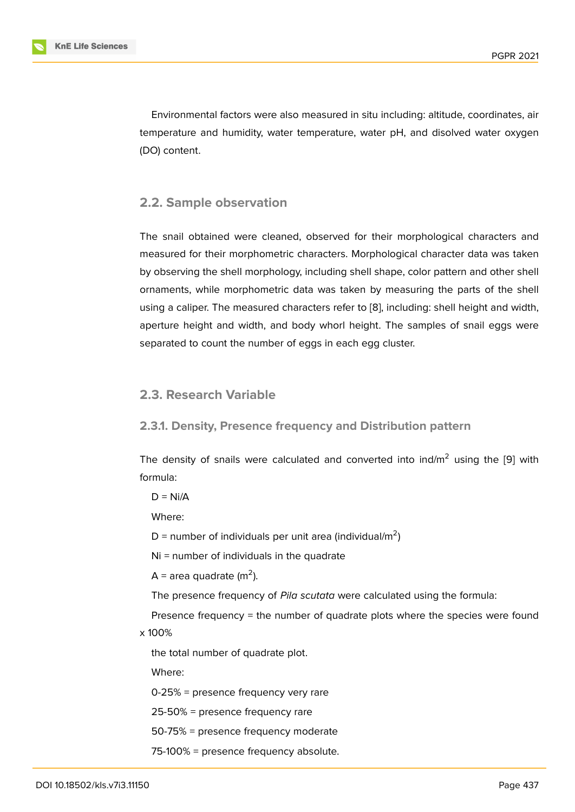Environmental factors were also measured in situ including: altitude, coordinates, air temperature and humidity, water temperature, water pH, and disolved water oxygen (DO) content.

## **2.2. Sample observation**

The snail obtained were cleaned, observed for their morphological characters and measured for their morphometric characters. Morphological character data was taken by observing the shell morphology, including shell shape, color pattern and other shell ornaments, while morphometric data was taken by measuring the parts of the shell using a caliper. The measured characters refer to [8], including: shell height and width, aperture height and width, and body whorl height. The samples of snail eggs were separated to count the number of eggs in each egg cluster.

## **2.3. Research Variable**

## **2.3.1. Density, Presence frequency and Distribution pattern**

The density of snails were calculated and converted into ind/ $m<sup>2</sup>$  using the [9] with formula:

 $D = Ni/A$ 

Where:

D = number of individuals per unit area (individual/m<sup>2</sup>)

Ni = number of individuals in the quadrate

 $A =$  area quadrate (m<sup>2</sup>).

The presence frequency of *Pila scutata* were calculated using the formula:

Presence frequency = the number of quadrate plots where the species were found x 100%

the total number of quadrate plot.

Where:

0-25% = presence frequency very rare

25-50% = presence frequency rare

50-75% = presence frequency moderate

75-100% = presence frequency absolute.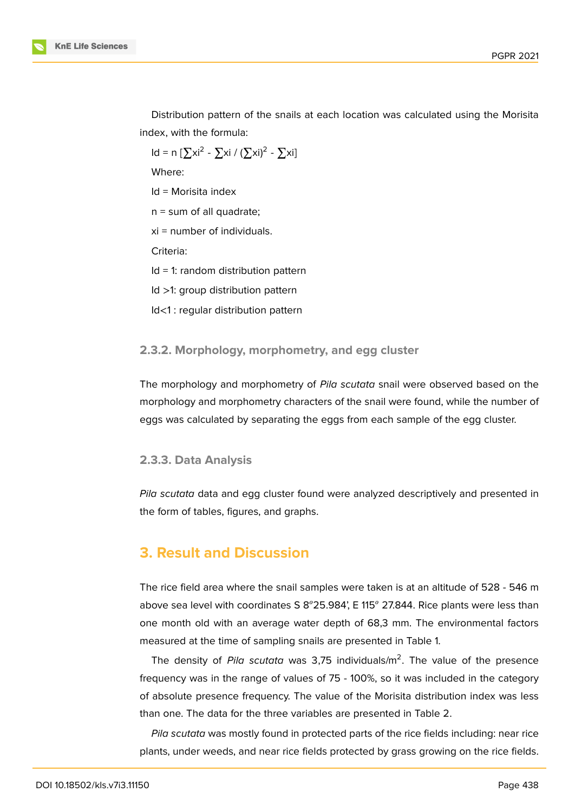

Distribution pattern of the snails at each location was calculated using the Morisita index, with the formula:

Id = n [ $\sum x i^2$  -  $\sum x i / (\sum x i)^2$  -  $\sum x i$ ]

Where:

Id = Morisita index

 $n =$  sum of all quadrate;

xi = number of individuals.

Criteria:

Id = 1: random distribution pattern

Id >1: group distribution pattern

Id<1 : regular distribution pattern

#### **2.3.2. Morphology, morphometry, and egg cluster**

The morphology and morphometry of *Pila scutata* snail were observed based on the morphology and morphometry characters of the snail were found, while the number of eggs was calculated by separating the eggs from each sample of the egg cluster.

#### **2.3.3. Data Analysis**

*Pila scutata* data and egg cluster found were analyzed descriptively and presented in the form of tables, figures, and graphs.

# **3. Result and Discussion**

The rice field area where the snail samples were taken is at an altitude of 528 - 546 m above sea level with coordinates S  $8^{\circ}25.984$ , E 115 $^{\circ}$  27.844. Rice plants were less than one month old with an average water depth of 68,3 mm. The environmental factors measured at the time of sampling snails are presented in Table 1.

The density of *Pila scutata* was 3,75 individuals/m<sup>2</sup>. The value of the presence frequency was in the range of values of 75 - 100%, so it was included in the category of absolute presence frequency. The value of the Morisita distribution index was less than one. The data for the three variables are presented in Table 2.

*Pila scutata* was mostly found in protected parts of the rice fields including: near rice plants, under weeds, and near rice fields protected by grass growing on the rice fields.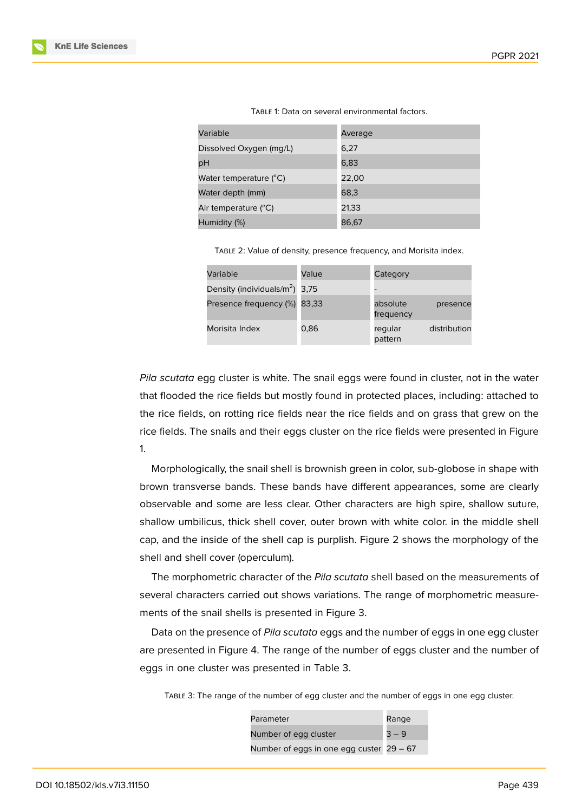| Variable                        | Average |
|---------------------------------|---------|
| Dissolved Oxygen (mg/L)         | 6,27    |
| рH                              | 6,83    |
| Water temperature $(^{\circ}C)$ | 22,00   |
| Water depth (mm)                | 68,3    |
| Air temperature $(^{\circ}C)$   | 21,33   |
| Humidity (%)                    | 86,67   |

|--|

Table 2: Value of density, presence frequency, and Morisita index.

| Variable                           | Value | Category              |              |
|------------------------------------|-------|-----------------------|--------------|
| Density (individuals/ $m^2$ ) 3,75 |       |                       |              |
| Presence frequency (%) 83,33       |       | absolute<br>frequency | presence     |
| Morisita Index                     | 0,86  | regular<br>pattern    | distribution |

*Pila scutata* egg cluster is white. The snail eggs were found in cluster, not in the water that flooded the rice fields but mostly found in protected places, including: attached to the rice fields, on rotting rice fields near the rice fields and on grass that grew on the rice fields. The snails and their eggs cluster on the rice fields were presented in Figure 1.

Morphologically, the snail shell is brownish green in color, sub-globose in shape with brown transverse bands. These bands have different appearances, some are clearly [o](#page-5-0)bservable and some are less clear. Other characters are high spire, shallow suture, shallow umbilicus, thick shell cover, outer brown with white color. in the middle shell cap, and the inside of the shell cap is purplish. Figure 2 shows the morphology of the shell and shell cover (operculum).

The morphometric character of the *Pila scutata* shell based on the measurements of several characters carried out shows variations. The r[an](#page-5-1)ge of morphometric measurements of the snail shells is presented in Figure 3.

Data on the presence of *Pila scutata* eggs and the number of eggs in one egg cluster are presented in Figure 4. The range of the number of eggs cluster and the number of eggs in one cluster was presented in Table 3.

Table 3: The range of [the](#page-6-0) number of egg cluster and the number of eggs in one egg cluster.

| Parameter                                  | Range   |
|--------------------------------------------|---------|
| Number of egg cluster                      | $3 - 9$ |
| Number of eggs in one egg custer $29 - 67$ |         |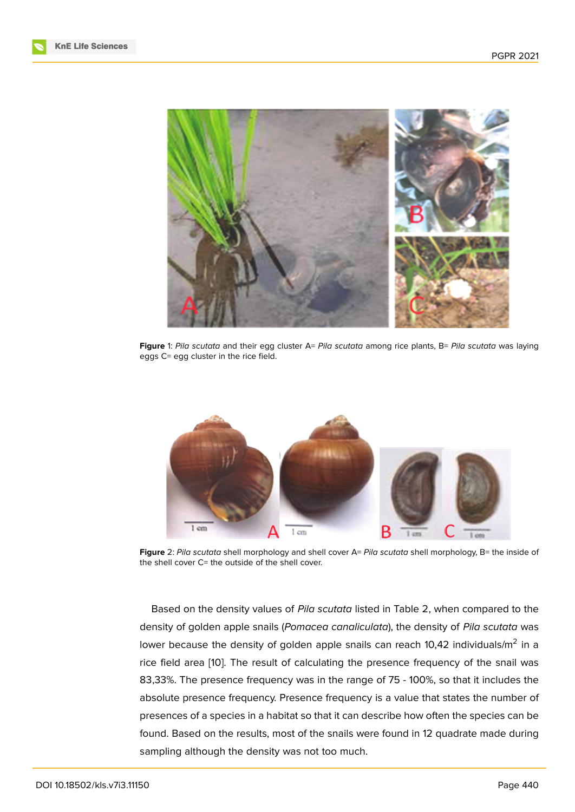

**Figure** 1: *Pila scutata* and their egg cluster A= *Pila scutata* among rice plants, B= *Pila scutata* was laying eggs C= egg cluster in the rice field.

<span id="page-5-0"></span>

**Figure** 2: *Pila scutata* shell morphology and shell cover A= *Pila scutata* shell morphology, B= the inside of the shell cover C= the outside of the shell cover.

<span id="page-5-1"></span>Based on the density values of *Pila scutata* listed in Table 2, when compared to the density of golden apple snails (*Pomacea canaliculata*), the density of *Pila scutata* was lower because the density of golden apple snails can reach 10,42 individuals/m<sup>2</sup> in a rice field area [10]. The result of calculating the presence frequency of the snail was 83,33%. The presence frequency was in the range of 75 - 100%, so that it includes the absolute presence frequency. Presence frequency is a value that states the number of presences of a [spe](#page-8-5)cies in a habitat so that it can describe how often the species can be found. Based on the results, most of the snails were found in 12 quadrate made during sampling although the density was not too much.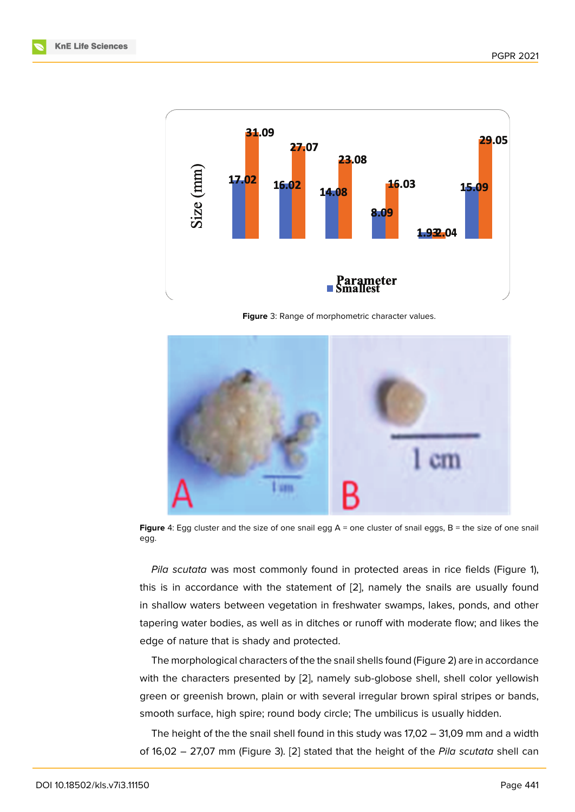

**Figure** 3: Range of morphometric character values.



**Figure** 4: Egg cluster and the size of one snail egg A = one cluster of snail eggs, B = the size of one snail egg.

<span id="page-6-0"></span>*Pila scutata* was most commonly found in protected areas in rice fields (Figure 1), this is in accordance with the statement of [2], namely the snails are usually found in shallow waters between vegetation in freshwater swamps, lakes, ponds, and other tapering water bodies, as well as in ditches or runoff with moderate flow; and likes t[he](#page-5-0) edge of nature that is shady and protected.

The morphological characters of the the snail shells found (Figure 2) are in accordance with the characters presented by [2], namely sub-globose shell, shell color yellowish green or greenish brown, plain or with several irregular brown spiral stripes or bands, smooth surface, high spire; round body circle; The umbilicus is us[ua](#page-5-1)lly hidden.

The height of the the snail shell f[ou](#page-7-1)nd in this study was 17,02 – 31,09 mm and a width of 16,02 – 27,07 mm (Figure 3). [2] stated that the height of the *Pila scutata* shell can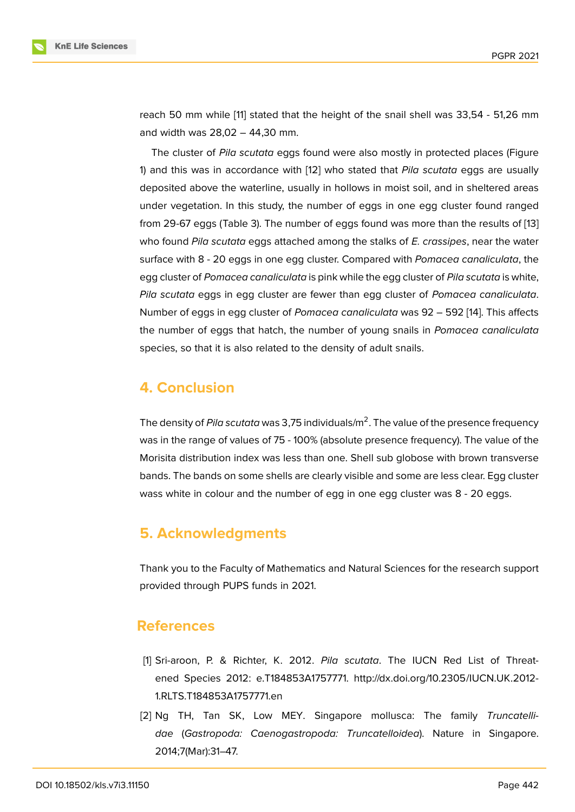reach 50 mm while [11] stated that the height of the snail shell was 33,54 - 51,26 mm and width was 28,02 – 44,30 mm.

The cluster of *Pila scutata* eggs found were also mostly in protected places (Figure 1) and this was in ac[co](#page-8-6)rdance with [12] who stated that *Pila scutata* eggs are usually deposited above the waterline, usually in hollows in moist soil, and in sheltered areas under vegetation. In this study, the number of eggs in one egg cluster found ranged [fr](#page-5-0)om 29-67 eggs (Table 3). The num[ber](#page-8-7) of eggs found was more than the results of [13] who found *Pila scutata* eggs attached among the stalks of *E. crassipes*, near the water surface with 8 - 20 eggs in one egg cluster. Compared with *Pomacea canaliculata*, the egg cluster of *Pomacea canaliculata* is pink while the egg cluster of *Pila scutata* is wh[ite,](#page-8-8) *Pila scutata* eggs in egg cluster are fewer than egg cluster of *Pomacea canaliculata*. Number of eggs in egg cluster of *Pomacea canaliculata* was 92 – 592 [14]. This affects the number of eggs that hatch, the number of young snails in *Pomacea canaliculata* species, so that it is also related to the density of adult snails.

## **4. Conclusion**

The density of *Pila scutata* was 3,75 individuals/m<sup>2</sup>. The value of the presence frequency was in the range of values of 75 - 100% (absolute presence frequency). The value of the Morisita distribution index was less than one. Shell sub globose with brown transverse bands. The bands on some shells are clearly visible and some are less clear. Egg cluster wass white in colour and the number of egg in one egg cluster was 8 - 20 eggs.

# **5. Acknowledgments**

Thank you to the Faculty of Mathematics and Natural Sciences for the research support provided through PUPS funds in 2021.

## **References**

- [1] Sri-aroon, P. & Richter, K. 2012. *Pila scutata*. The IUCN Red List of Threatened Species 2012: e.T184853A1757771. http://dx.doi.org/10.2305/IUCN.UK.2012- 1.RLTS.T184853A1757771.en
- <span id="page-7-1"></span><span id="page-7-0"></span>[2] Ng TH, Tan SK, Low MEY. Singapore mollusca: The family *Truncatellidae* (*Gastropoda: Caenogastropoda: Truncatelloidea*). Nature in Singapore. 2014;7(Mar):31–47.